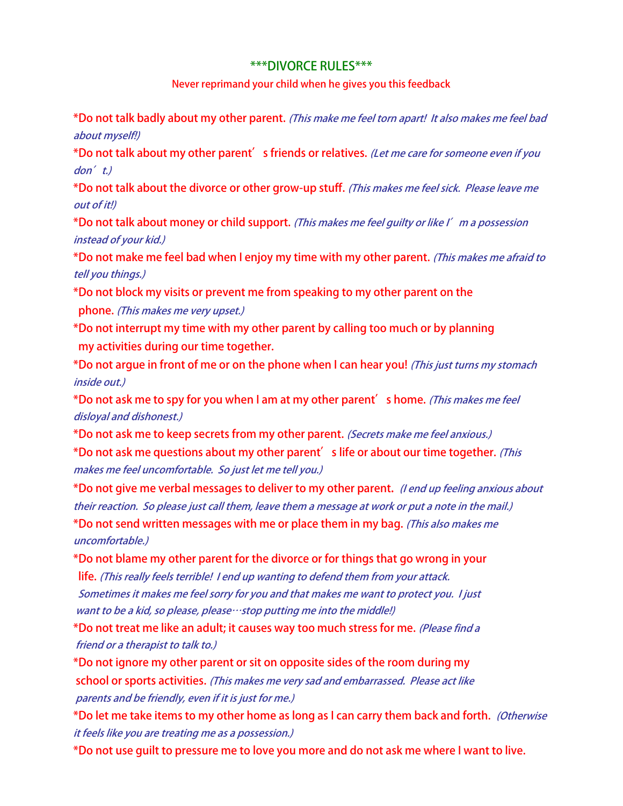## **\*\*\*DIVORCE RULES\*\*\***

## **Never reprimand your child when he gives you this feedback**

**\*Do not talk badly about my other parent. (This make me feel torn apart! It also makes me feel bad about myself!)**

**\*Do not talk about my other parent's friends or relatives. (Let me care for someone even if you don't.)**

**\*Do not talk about the divorce or other grow-up stuff. (This makes me feel sick. Please leave me out of it!)**

**\*Do not talk about money or child support. (This makes me feel guilty or like I'm a possession instead of your kid.)**

**\*Do not make me feel bad when I enjoy my time with my other parent. (This makes me afraid to tell you things.)**

**\*Do not block my visits or prevent me from speaking to my other parent on the phone. (This makes me very upset.)**

**\*Do not interrupt my time with my other parent by calling too much or by planning my activities during our time together.** 

**\*Do not argue in front of me or on the phone when I can hear you! (This just turns my stomach inside out.)**

**\*Do not ask me to spy for you when I am at my other parent's home. (This makes me feel disloyal and dishonest.)**

**\*Do not ask me to keep secrets from my other parent. (Secrets make me feel anxious.)**

**\*Do not ask me questions about my other parent's life or about our time together. (This makes me feel uncomfortable. So just let me tell you.)**

**\*Do not give me verbal messages to deliver to my other parent. (I end up feeling anxious about their reaction. So please just call them, leave them a message at work or put a note in the mail.)**

**\*Do not send written messages with me or place them in my bag. (This also makes me uncomfortable.)**

**\*Do not blame my other parent for the divorce or for things that go wrong in your** 

 **life. (This really feels terrible! I end up wanting to defend them from your attack. Sometimes it makes me feel sorry for you and that makes me want to protect you. I just want to be a kid, so please, please…stop putting me into the middle!)**

**\*Do not treat me like an adult; it causes way too much stress for me. (Please find a friend or a therapist to talk to.)**

**\*Do not ignore my other parent or sit on opposite sides of the room during my school or sports activities. (This makes me very sad and embarrassed. Please act like parents and be friendly, even if it is just for me.)**

**\*Do let me take items to my other home as long as I can carry them back and forth. (Otherwise it feels like you are treating me as a possession.)**

**\*Do not use guilt to pressure me to love you more and do not ask me where I want to live.**